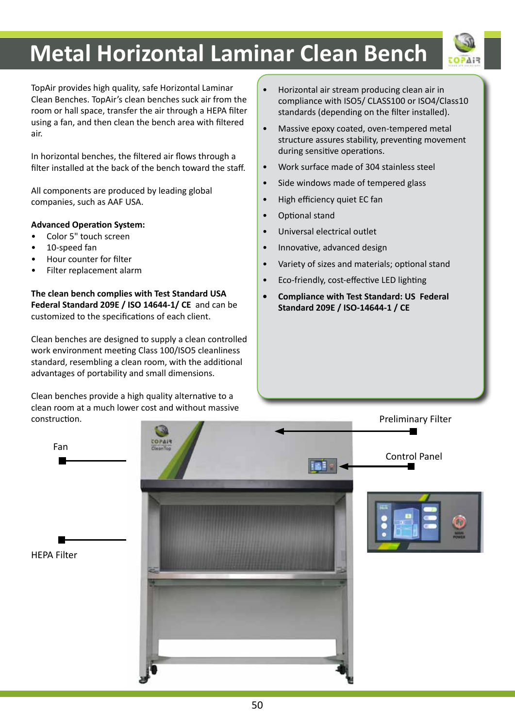## **Metal Horizontal Laminar Clean Bench**



TopAir provides high quality, safe Horizontal Laminar Clean Benches. TopAir's clean benches suck air from the room or hall space, transfer the air through a HEPA filter using a fan, and then clean the bench area with filtered air.

In horizontal benches, the filtered air flows through a filter installed at the back of the bench toward the staff.

All components are produced by leading global companies, such as AAF USA.

## **Advanced Operation System:**

- Color 5" touch screen
- 10-speed fan
- Hour counter for filter
- Filter replacement alarm

**The clean bench complies with Test Standard USA Federal Standard 209E / ISO 14644-1/ CE** and can be customized to the specifications of each client.

Clean benches are designed to supply a clean controlled work environment meeting Class 100/ISO5 cleanliness standard, resembling a clean room, with the additional advantages of portability and small dimensions.

Clean benches provide a high quality alternative to a clean room at a much lower cost and without massive construction.

- Horizontal air stream producing clean air in compliance with ISO5/ CLASS100 or ISO4/Class10 standards (depending on the filter installed).
- Massive epoxy coated, oven-tempered metal structure assures stability, preventing movement during sensitive operations.
- Work surface made of 304 stainless steel
- Side windows made of tempered glass
- High efficiency quiet EC fan
- Optional stand
- Universal electrical outlet
- Innovative, advanced design
- Variety of sizes and materials; optional stand
- Eco-friendly, cost-effective LED lighting
- **• Compliance with Test Standard: US Federal Standard 209E / ISO-14644-1 / CE**